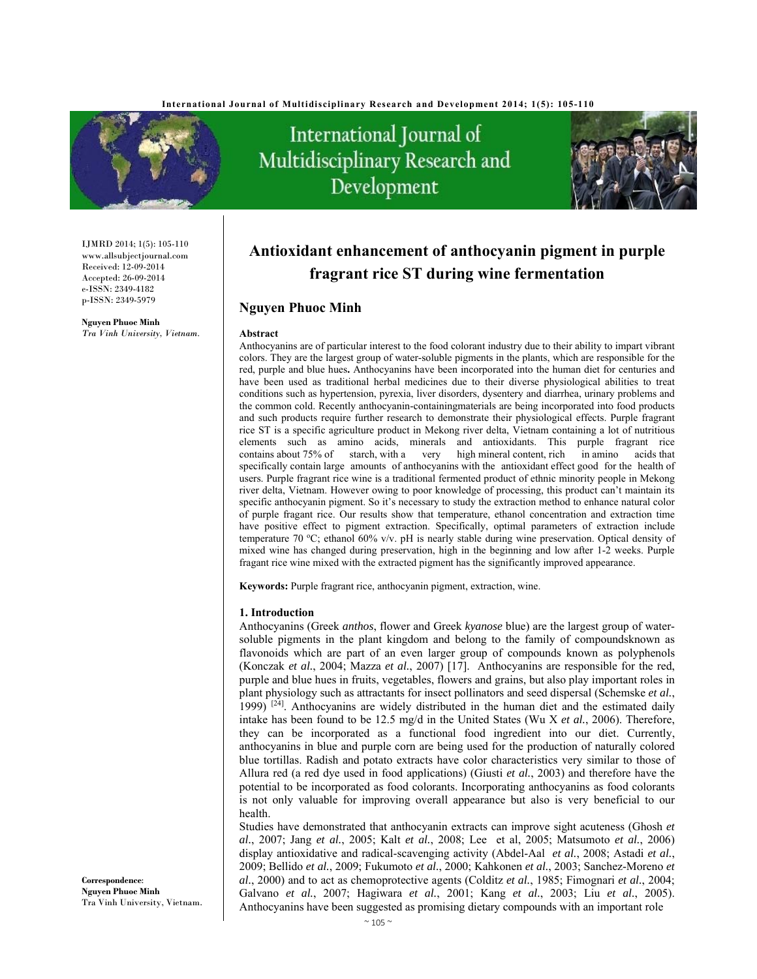

IJMRD 2014; 1(5): 105-110 www.allsubjectjournal.com Received: 12-09-2014 Accepted: 26-09-2014 e-ISSN: 2349-4182 p-ISSN: 2349-5979

**Nguyen Phuoc Minh**  *Tra Vinh University, Vietnam.*

# International Journal of Multidisciplinary Research and Development



## **Antioxidant enhancement of anthocyanin pigment in purple fragrant rice ST during wine fermentation**

## **Nguyen Phuoc Minh**

#### **Abstract**

Anthocyanins are of particular interest to the food colorant industry due to their ability to impart vibrant colors. They are the largest group of water-soluble pigments in the plants, which are responsible for the red, purple and blue hues**.** Anthocyanins have been incorporated into the human diet for centuries and have been used as traditional herbal medicines due to their diverse physiological abilities to treat conditions such as hypertension, pyrexia, liver disorders, dysentery and diarrhea, urinary problems and the common cold. Recently anthocyanin-containingmaterials are being incorporated into food products and such products require further research to demonstrate their physiological effects. Purple fragrant rice ST is a specific agriculture product in Mekong river delta, Vietnam containing a lot of nutritious elements such as amino acids, minerals and antioxidants. This purple fragrant rice contains about 75% of starch, with a very high mineral content, rich in amino acids that contains about 75% of starch, with a very high mineral content, rich in amino acids that specifically contain large amounts of anthocyanins with the antioxidant effect good for the health of users. Purple fragrant rice wine is a traditional fermented product of ethnic minority people in Mekong river delta, Vietnam. However owing to poor knowledge of processing, this product can't maintain its specific anthocyanin pigment. So it's necessary to study the extraction method to enhance natural color of purple fragant rice. Our results show that temperature, ethanol concentration and extraction time have positive effect to pigment extraction. Specifically, optimal parameters of extraction include temperature 70 °C; ethanol 60% v/v. pH is nearly stable during wine preservation. Optical density of mixed wine has changed during preservation, high in the beginning and low after 1-2 weeks. Purple fragant rice wine mixed with the extracted pigment has the significantly improved appearance.

**Keywords:** Purple fragrant rice, anthocyanin pigment, extraction, wine.

#### **1. Introduction**

Anthocyanins (Greek *anthos*, flower and Greek *kyanose* blue) are the largest group of watersoluble pigments in the plant kingdom and belong to the family of compoundsknown as flavonoids which are part of an even larger group of compounds known as polyphenols (Konczak *et al.*, 2004; Mazza *et al.*, 2007) [17]. Anthocyanins are responsible for the red, purple and blue hues in fruits, vegetables, flowers and grains, but also play important roles in plant physiology such as attractants for insect pollinators and seed dispersal (Schemske *et al.*, 1999)  $[24]$ . Anthocyanins are widely distributed in the human diet and the estimated daily intake has been found to be 12.5 mg/d in the United States (Wu X *et al.*, 2006). Therefore, they can be incorporated as a functional food ingredient into our diet. Currently, anthocyanins in blue and purple corn are being used for the production of naturally colored blue tortillas. Radish and potato extracts have color characteristics very similar to those of Allura red (a red dye used in food applications) (Giusti *et al.*, 2003) and therefore have the potential to be incorporated as food colorants. Incorporating anthocyanins as food colorants is not only valuable for improving overall appearance but also is very beneficial to our health.

Studies have demonstrated that anthocyanin extracts can improve sight acuteness (Ghosh *et al.*, 2007; Jang *et al.*, 2005; Kalt *et al.*, 2008; Lee et al, 2005; Matsumoto *et al.*, 2006) display antioxidative and radical-scavenging activity (Abdel-Aal *et al.*, 2008; Astadi *et al.*, 2009; Bellido *et al.*, 2009; Fukumoto *et al.*, 2000; Kahkonen *et al.*, 2003; Sanchez-Moreno *et al.*, 2000) and to act as chemoprotective agents (Colditz *et al.*, 1985; Fimognari *et al.*, 2004; Galvano *et al.*, 2007; Hagiwara *et al.*, 2001; Kang *et al.*, 2003; Liu *et al.*, 2005). Anthocyanins have been suggested as promising dietary compounds with an important role

**Correspondence**: **Nguyen Phuoc Minh**  Tra Vinh University, Vietnam.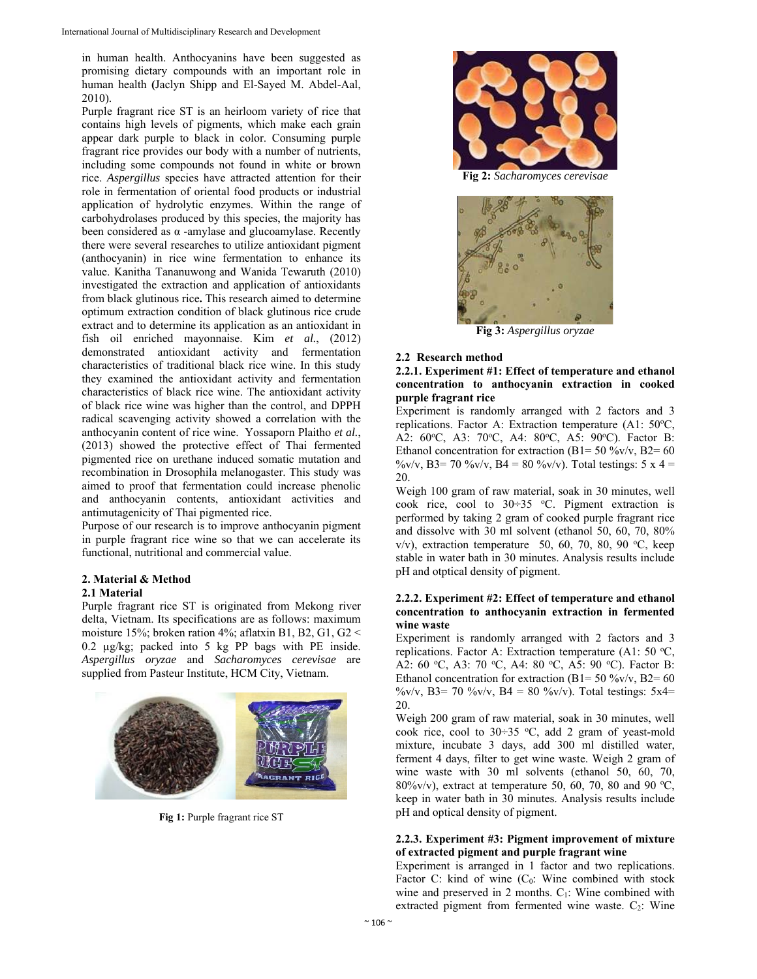in human health. Anthocyanins have been suggested as promising dietary compounds with an important role in human health **(**Jaclyn Shipp and El-Sayed M. Abdel-Aal, 2010).

Purple fragrant rice ST is an heirloom variety of rice that contains high levels of pigments, which make each grain appear dark purple to black in color. Consuming purple fragrant rice provides our body with a number of nutrients, including some compounds not found in white or brown rice. *Aspergillus* species have attracted attention for their role in fermentation of oriental food products or industrial application of hydrolytic enzymes. Within the range of carbohydrolases produced by this species, the majority has been considered as  $\alpha$  -amylase and glucoamylase. Recently there were several researches to utilize antioxidant pigment (anthocyanin) in rice wine fermentation to enhance its value. Kanitha Tananuwong and Wanida Tewaruth (2010) investigated the extraction and application of antioxidants from black glutinous rice**.** This research aimed to determine optimum extraction condition of black glutinous rice crude extract and to determine its application as an antioxidant in fish oil enriched mayonnaise. Kim *et al.*, (2012) demonstrated antioxidant activity and fermentation characteristics of traditional black rice wine. In this study they examined the antioxidant activity and fermentation characteristics of black rice wine. The antioxidant activity of black rice wine was higher than the control, and DPPH radical scavenging activity showed a correlation with the anthocyanin content of rice wine. Yossaporn Plaitho *et al.*, (2013) showed the protective effect of Thai fermented pigmented rice on urethane induced somatic mutation and recombination in Drosophila melanogaster. This study was aimed to proof that fermentation could increase phenolic and anthocyanin contents, antioxidant activities and antimutagenicity of Thai pigmented rice.

Purpose of our research is to improve anthocyanin pigment in purple fragrant rice wine so that we can accelerate its functional, nutritional and commercial value.

## **2. Material & Method**

## **2.1 Material**

Purple fragrant rice ST is originated from Mekong river delta, Vietnam. Its specifications are as follows: maximum moisture 15%; broken ration 4%; aflatxin B1, B2, G1, G2 < 0.2 µg/kg; packed into 5 kg PP bags with PE inside. *Aspergillus oryzae* and *Sacharomyces cerevisae* are supplied from Pasteur Institute, HCM City, Vietnam.



**Fig 1:** Purple fragrant rice ST



**Fig 2:** *Sacharomyces cerevisae* 



**Fig 3:** *Aspergillus oryzae*

## **2.2 Research method**

## **2.2.1. Experiment #1: Effect of temperature and ethanol concentration to anthocyanin extraction in cooked purple fragrant rice**

Experiment is randomly arranged with 2 factors and 3 replications. Factor A: Extraction temperature (A1: 50°C, A2: 60°C, A3: 70°C, A4: 80°C, A5: 90°C). Factor B: Ethanol concentration for extraction (B1= 50 %v/v, B2= 60  $\%$ v/v, B3= 70 %v/v, B4 = 80 %v/v). Total testings: 5 x 4 = 20.

Weigh 100 gram of raw material, soak in 30 minutes, well cook rice, cool to  $30 \div 35$  °C. Pigment extraction is performed by taking 2 gram of cooked purple fragrant rice and dissolve with 30 ml solvent (ethanol 50, 60, 70, 80%  $v/v$ ), extraction temperature 50, 60, 70, 80, 90 °C, keep stable in water bath in 30 minutes. Analysis results include pH and otptical density of pigment.

## **2.2.2. Experiment #2: Effect of temperature and ethanol concentration to anthocyanin extraction in fermented wine waste**

Experiment is randomly arranged with 2 factors and 3 replications. Factor A: Extraction temperature (A1: 50  $^{\circ}$ C, A2: 60 °C, A3: 70 °C, A4: 80 °C, A5: 90 °C). Factor B: Ethanol concentration for extraction (B1= 50 %v/v, B2= 60 %v/v, B3= 70 %v/v, B4 = 80 %v/v). Total testings:  $5x4=$ 20.

Weigh 200 gram of raw material, soak in 30 minutes, well cook rice, cool to  $30 \div 35$  °C, add 2 gram of yeast-mold mixture, incubate 3 days, add 300 ml distilled water, ferment 4 days, filter to get wine waste. Weigh 2 gram of wine waste with 30 ml solvents (ethanol 50, 60, 70, 80%v/v), extract at temperature 50, 60, 70, 80 and 90 °C, keep in water bath in 30 minutes. Analysis results include pH and optical density of pigment.

## **2.2.3. Experiment #3: Pigment improvement of mixture of extracted pigment and purple fragrant wine**

Experiment is arranged in 1 factor and two replications. Factor C: kind of wine  $(C_0:$  Wine combined with stock wine and preserved in 2 months.  $C_1$ : Wine combined with extracted pigment from fermented wine waste.  $C_2$ : Wine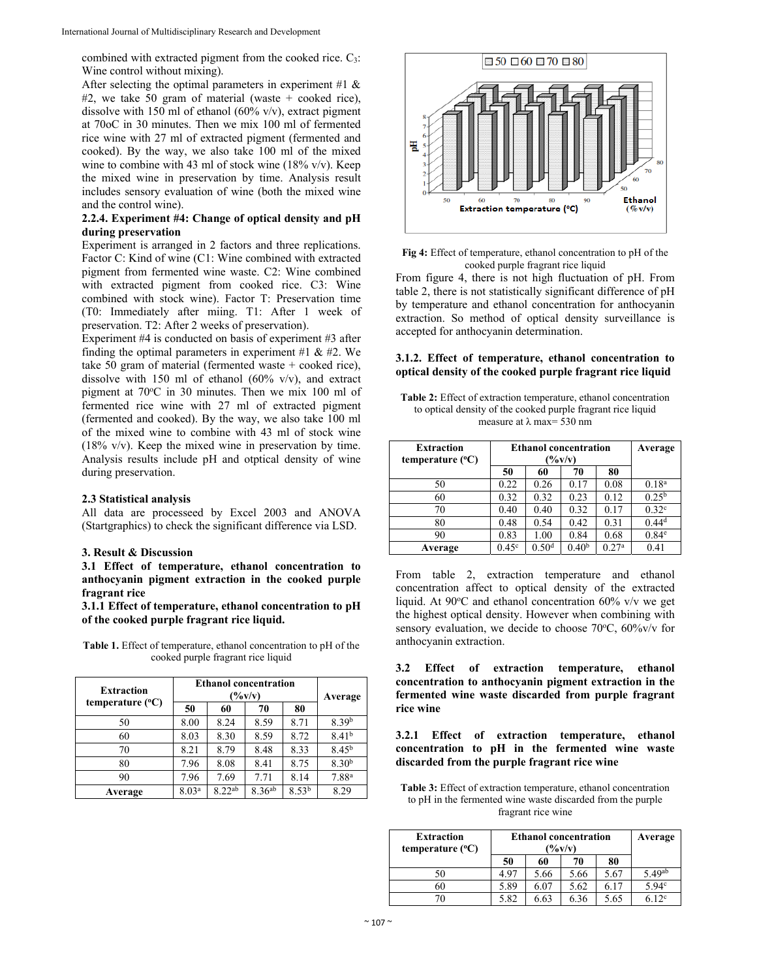combined with extracted pigment from the cooked rice.  $C_3$ : Wine control without mixing).

After selecting the optimal parameters in experiment #1  $\&$  $#2$ , we take 50 gram of material (waste + cooked rice), dissolve with 150 ml of ethanol  $(60\% \text{ v/v})$ , extract pigment at 70oC in 30 minutes. Then we mix 100 ml of fermented rice wine with 27 ml of extracted pigment (fermented and cooked). By the way, we also take 100 ml of the mixed wine to combine with 43 ml of stock wine  $(18\% \text{ v/v})$ . Keep the mixed wine in preservation by time. Analysis result includes sensory evaluation of wine (both the mixed wine and the control wine).

## **2.2.4. Experiment #4: Change of optical density and pH during preservation**

Experiment is arranged in 2 factors and three replications. Factor C: Kind of wine (C1: Wine combined with extracted pigment from fermented wine waste. C2: Wine combined with extracted pigment from cooked rice. C3: Wine combined with stock wine). Factor T: Preservation time (T0: Immediately after miing. T1: After 1 week of preservation. T2: After 2 weeks of preservation).

Experiment #4 is conducted on basis of experiment #3 after finding the optimal parameters in experiment #1  $\&$  #2. We take 50 gram of material (fermented waste + cooked rice), dissolve with 150 ml of ethanol  $(60\% \text{ v/v})$ , and extract pigment at 70°C in 30 minutes. Then we mix 100 ml of fermented rice wine with 27 ml of extracted pigment (fermented and cooked). By the way, we also take 100 ml of the mixed wine to combine with 43 ml of stock wine (18% v/v). Keep the mixed wine in preservation by time. Analysis results include pH and otptical density of wine during preservation.

#### **2.3 Statistical analysis**

All data are processeed by Excel 2003 and ANOVA (Startgraphics) to check the significant difference via LSD.

## **3. Result & Discussion**

#### **3.1 Effect of temperature, ethanol concentration to anthocyanin pigment extraction in the cooked purple fragrant rice**

**3.1.1 Effect of temperature, ethanol concentration to pH of the cooked purple fragrant rice liquid.** 

**Table 1.** Effect of temperature, ethanol concentration to pH of the cooked purple fragrant rice liquid

| <b>Extraction</b>         | <b>Ethanol concentration</b><br>$(\frac{6}{v})$ |             |             |                   | Average           |
|---------------------------|-------------------------------------------------|-------------|-------------|-------------------|-------------------|
| temperature $(^{\circ}C)$ | 50                                              | 60          | 70          | 80                |                   |
| 50                        | 8.00                                            | 8.24        | 8.59        | 8.71              | 8.39b             |
| 60                        | 8.03                                            | 8.30        | 8.59        | 8.72              | 8.41 <sup>b</sup> |
| 70                        | 8.21                                            | 8.79        | 8.48        | 8.33              | $8.45^{b}$        |
| 80                        | 7.96                                            | 8.08        | 8.41        | 8.75              | 8.30 <sup>b</sup> |
| 90                        | 7.96                                            | 7.69        | 7.71        | 8.14              | 7.88 <sup>a</sup> |
| Average                   | 8.03 <sup>a</sup>                               | $8.22^{ab}$ | $8.36^{ab}$ | 8.53 <sup>b</sup> | 8.29              |



**Fig 4:** Effect of temperature, ethanol concentration to pH of the cooked purple fragrant rice liquid

From figure 4, there is not high fluctuation of pH. From table 2, there is not statistically significant difference of pH by temperature and ethanol concentration for anthocyanin extraction. So method of optical density surveillance is accepted for anthocyanin determination.

#### **3.1.2. Effect of temperature, ethanol concentration to optical density of the cooked purple fragrant rice liquid**

**Table 2:** Effect of extraction temperature, ethanol concentration to optical density of the cooked purple fragrant rice liquid measure at  $\lambda$  max= 530 nm

| <b>Extraction</b><br>temperature $(^{\circ}C)$ | <b>Ethanol concentration</b><br>$(\frac{6}{v})$ |                   |                   | Average           |                   |
|------------------------------------------------|-------------------------------------------------|-------------------|-------------------|-------------------|-------------------|
|                                                | 50                                              | 60                | 70                | 80                |                   |
| 50                                             | 0.22                                            | 0.26              | 0.17              | 0.08              | 0.18 <sup>a</sup> |
| 60                                             | 0.32                                            | 0.32              | 0.23              | 0.12              | $0.25^{b}$        |
| 70                                             | 0.40                                            | 0.40              | 0.32              | 0.17              | 0.32 <sup>c</sup> |
| 80                                             | 0.48                                            | 0.54              | 0.42              | 0.31              | $0.44^{d}$        |
| 90                                             | 0.83                                            | 1.00              | 0.84              | 0.68              | 0.84 <sup>e</sup> |
| Average                                        | 0.45 <sup>c</sup>                               | 0.50 <sup>d</sup> | 0.40 <sup>b</sup> | 0.27 <sup>a</sup> | 0.41              |

From table 2, extraction temperature and ethanol concentration affect to optical density of the extracted liquid. At  $90^{\circ}$ C and ethanol concentration  $60\%$  v/v we get the highest optical density. However when combining with sensory evaluation, we decide to choose 70°C, 60%v/v for anthocyanin extraction.

**3.2 Effect of extraction temperature, ethanol concentration to anthocyanin pigment extraction in the fermented wine waste discarded from purple fragrant rice wine** 

**3.2.1 Effect of extraction temperature, ethanol concentration to pH in the fermented wine waste discarded from the purple fragrant rice wine** 

**Table 3:** Effect of extraction temperature, ethanol concentration to pH in the fermented wine waste discarded from the purple fragrant rice wine

| <b>Extraction</b><br>temperature $(^{\circ}C)$ | <b>Ethanol concentration</b><br>(%v/v) |      |      |      |                    |  | Average |
|------------------------------------------------|----------------------------------------|------|------|------|--------------------|--|---------|
|                                                | 50                                     | 60   | 70   | 80   |                    |  |         |
| 50                                             | 4.97                                   | 5.66 | 5.66 | 5.67 | 5.49 <sup>ab</sup> |  |         |
| 60                                             | 5.89                                   | 6.07 | 5.62 | 6.17 | 5.94c              |  |         |
|                                                | 5.82                                   | 6.63 | 6.36 | 5.65 | 12 <sup>c</sup>    |  |         |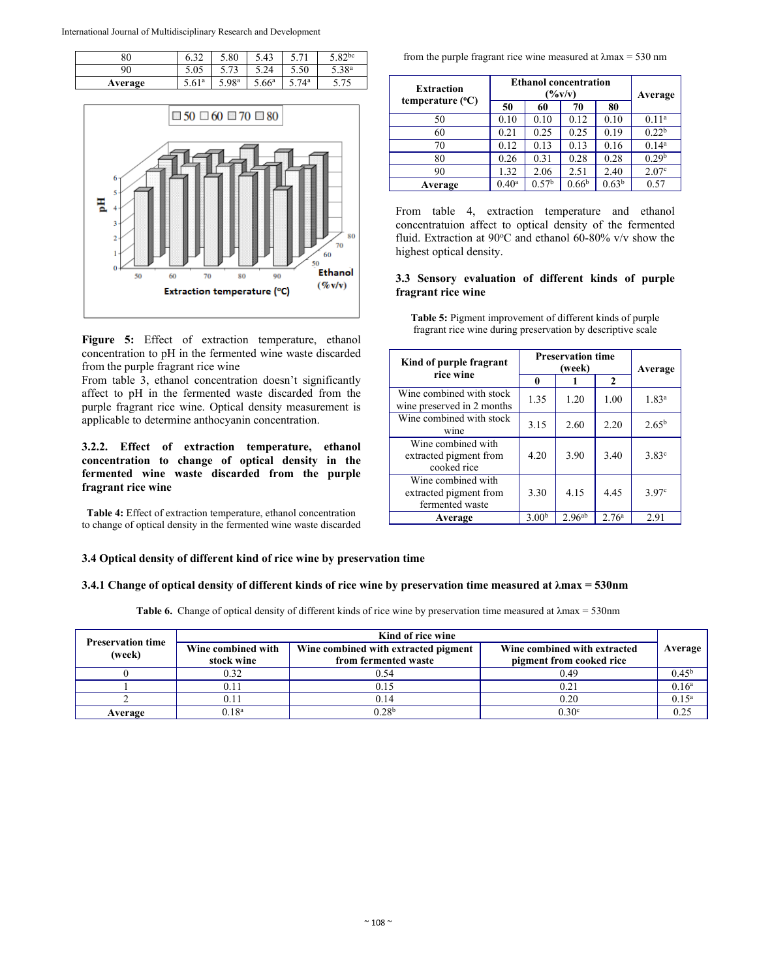| 80      | $\sim$<br>∪.J∠    | 5.80  | 5.43              | $7^{\circ}$ | $\sim Q_2$ bc     |
|---------|-------------------|-------|-------------------|-------------|-------------------|
| 90      | 5.05              | 71    | 24                | 5.50        | 5.38 <sup>a</sup> |
| Average | 5.61 <sup>a</sup> | 5.98a | 5.66 <sup>a</sup> | 74a         | 75                |



**Figure 5:** Effect of extraction temperature, ethanol concentration to pH in the fermented wine waste discarded from the purple fragrant rice wine

From table 3, ethanol concentration doesn't significantly affect to pH in the fermented waste discarded from the purple fragrant rice wine. Optical density measurement is applicable to determine anthocyanin concentration.

## **3.2.2. Effect of extraction temperature, ethanol concentration to change of optical density in the fermented wine waste discarded from the purple fragrant rice wine**

**Table 4:** Effect of extraction temperature, ethanol concentration to change of optical density in the fermented wine waste discarded

from the purple fragrant rice wine measured at  $\lambda$ max = 530 nm

| <b>Extraction</b>         | <b>Ethanol concentration</b><br>$(\frac{9}{6}v/v)$ |                   |                   |                   | Average           |
|---------------------------|----------------------------------------------------|-------------------|-------------------|-------------------|-------------------|
| temperature $(^{\circ}C)$ | 50                                                 | 60                | 70                | 80                |                   |
| 50                        | 0.10                                               | 0.10              | 0.12              | 0.10              | 0.11 <sup>a</sup> |
| 60                        | 0.21                                               | 0.25              | 0.25              | 0.19              | 0.22 <sup>b</sup> |
| 70                        | 0.12                                               | 0.13              | 0.13              | 0.16              | 0.14 <sup>a</sup> |
| 80                        | 0.26                                               | 0.31              | 0.28              | 0.28              | 0.29 <sup>b</sup> |
| 90                        | 1.32                                               | 2.06              | 2.51              | 2.40              | 2.07 <sup>c</sup> |
| Average                   | $0.40^{\rm a}$                                     | 0.57 <sup>b</sup> | 0.66 <sup>b</sup> | 0.63 <sup>b</sup> | 0.57              |

From table 4, extraction temperature and ethanol concentratuion affect to optical density of the fermented fluid. Extraction at 90°C and ethanol 60-80% v/v show the highest optical density.

## **3.3 Sensory evaluation of different kinds of purple fragrant rice wine**

**Table 5:** Pigment improvement of different kinds of purple fragrant rice wine during preservation by descriptive scale

| Kind of purple fragrant<br>rice wine                            | <b>Preservation time</b> | Average     |                   |                   |
|-----------------------------------------------------------------|--------------------------|-------------|-------------------|-------------------|
|                                                                 | 0                        |             | $\mathbf{2}$      |                   |
| Wine combined with stock<br>wine preserved in 2 months          | 1.35                     | 1.20        | 1.00              | 1.83 <sup>a</sup> |
| Wine combined with stock<br>wine                                | 3.15                     | 2.60        | 2.20              | $2.65^{b}$        |
| Wine combined with<br>extracted pigment from<br>cooked rice     | 4.20                     | 3.90        | 3.40              | $3.83^{\circ}$    |
| Wine combined with<br>extracted pigment from<br>fermented waste | 3.30                     | 4.15        | 4.45              | 3.97 <sup>c</sup> |
| Average                                                         | 3.00 <sup>b</sup>        | $2.96^{ab}$ | 2.76 <sup>a</sup> | 2.91              |

## **3.4 Optical density of different kind of rice wine by preservation time**

#### **3.4.1 Change of optical density of different kinds of rice wine by preservation time measured at λmax = 530nm**

**Table 6.** Change of optical density of different kinds of rice wine by preservation time measured at λmax = 530nm

|                                    | Kind of rice wine                |                                                              |                                                          |                   |  |  |
|------------------------------------|----------------------------------|--------------------------------------------------------------|----------------------------------------------------------|-------------------|--|--|
| <b>Preservation time</b><br>(week) | Wine combined with<br>stock wine | Wine combined with extracted pigment<br>from fermented waste | Wine combined with extracted<br>pigment from cooked rice | Average           |  |  |
|                                    | 0.32                             | 0.54                                                         | 0.49                                                     | $0.45^{\rm b}$    |  |  |
|                                    | 0.11                             | 0.15                                                         | 0.21                                                     | 0.16 <sup>a</sup> |  |  |
|                                    | 0.11                             | 0.14                                                         | 0.20                                                     | $0.15^{a}$        |  |  |
| Average                            | $0.18^{a}$                       | $0.28^{\rm b}$                                               | 0.30 <sup>c</sup>                                        | 0.25              |  |  |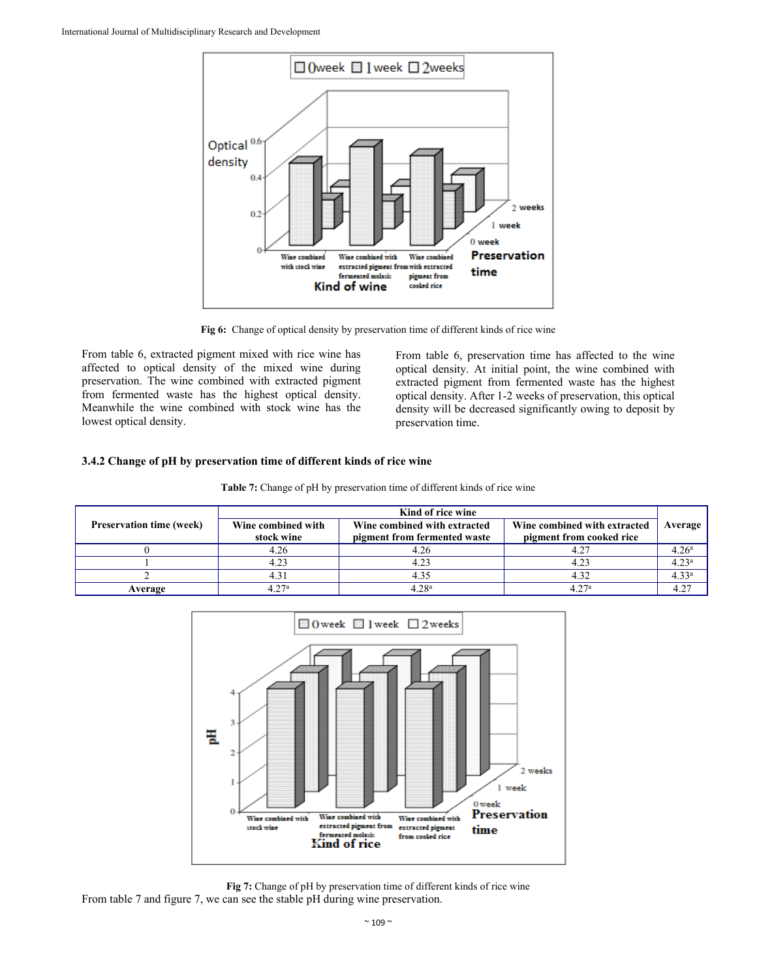

**Fig 6:** Change of optical density by preservation time of different kinds of rice wine

From table 6, extracted pigment mixed with rice wine has affected to optical density of the mixed wine during preservation. The wine combined with extracted pigment from fermented waste has the highest optical density. Meanwhile the wine combined with stock wine has the lowest optical density.

From table 6, preservation time has affected to the wine optical density. At initial point, the wine combined with extracted pigment from fermented waste has the highest optical density. After 1-2 weeks of preservation, this optical density will be decreased significantly owing to deposit by preservation time.

## **3.4.2 Change of pH by preservation time of different kinds of rice wine**

|                                 | Kind of rice wine                |                                                              |                                                          |                   |  |
|---------------------------------|----------------------------------|--------------------------------------------------------------|----------------------------------------------------------|-------------------|--|
| <b>Preservation time (week)</b> | Wine combined with<br>stock wine | Wine combined with extracted<br>pigment from fermented waste | Wine combined with extracted<br>pigment from cooked rice | Average           |  |
|                                 | 4.26                             | 4.26                                                         | 4.27                                                     | 4.26 <sup>a</sup> |  |
|                                 | 4.23                             | 4.23                                                         | 4.23                                                     | 4.23 <sup>a</sup> |  |
|                                 | 4.31                             | 4.35                                                         | 4.32                                                     | 4.33 <sup>a</sup> |  |
| Average                         | 4.27 <sup>a</sup>                | 4.28 <sup>a</sup>                                            | 4 27ª                                                    | 427               |  |



**Fig 7:** Change of pH by preservation time of different kinds of rice wine From table 7 and figure 7, we can see the stable pH during wine preservation.